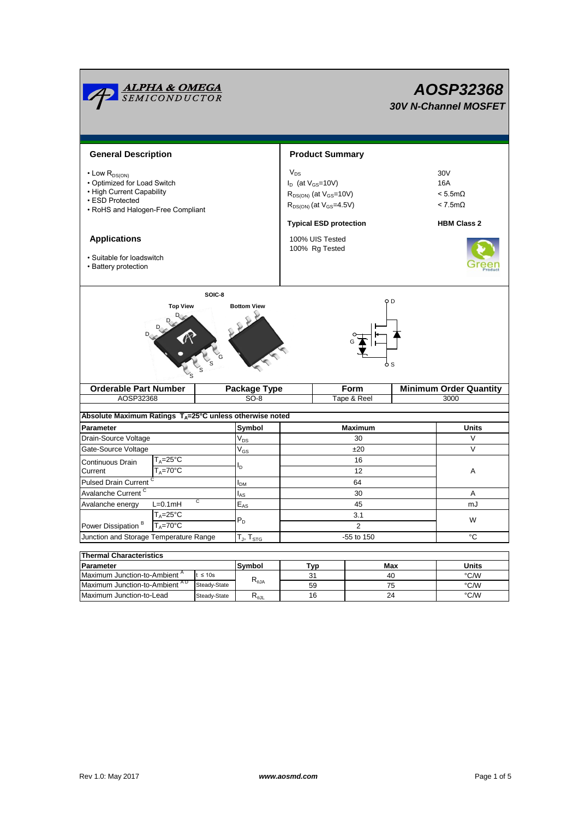|                                                                                                                                              | <u><b>ALPHA &amp; OMEGA</b><br/>SEMICONDUCTOR</u> |                            |                                  |                                                                                                                                              |             |                               | AOSP32368<br><b>30V N-Channel MOSFET</b>                                                 |  |  |  |
|----------------------------------------------------------------------------------------------------------------------------------------------|---------------------------------------------------|----------------------------|----------------------------------|----------------------------------------------------------------------------------------------------------------------------------------------|-------------|-------------------------------|------------------------------------------------------------------------------------------|--|--|--|
| <b>General Description</b>                                                                                                                   |                                                   |                            |                                  | <b>Product Summary</b>                                                                                                                       |             |                               |                                                                                          |  |  |  |
| $\cdot$ Low $R_{DS(ON)}$<br>• Optimized for Load Switch<br>• High Current Capability<br>• ESD Protected<br>• RoHS and Halogen-Free Compliant |                                                   |                            |                                  | $V_{DS}$<br>$I_D$ (at $V_{GS}$ =10V)<br>$R_{DS(ON)}$ (at $V_{GS}$ =10V)<br>$R_{DS(ON)}$ (at $V_{GS}$ =4.5V)<br><b>Typical ESD protection</b> |             |                               | 30 <sub>V</sub><br>16A<br>$< 5.5 \text{m}\Omega$<br>$< 7.5m\Omega$<br><b>HBM Class 2</b> |  |  |  |
| <b>Applications</b><br>• Suitable for loadswitch<br>• Battery protection                                                                     |                                                   |                            |                                  | 100% UIS Tested<br>100% Rg Tested                                                                                                            |             |                               |                                                                                          |  |  |  |
| SOIC-8<br>O D<br><b>Top View</b><br><b>Bottom View</b>                                                                                       |                                                   |                            |                                  |                                                                                                                                              |             |                               |                                                                                          |  |  |  |
| <b>Orderable Part Number</b>                                                                                                                 |                                                   | Package Type               |                                  | <b>Form</b>                                                                                                                                  |             | <b>Minimum Order Quantity</b> |                                                                                          |  |  |  |
| AOSP32368                                                                                                                                    |                                                   |                            | $SO-8$                           |                                                                                                                                              | Tape & Reel |                               | 3000                                                                                     |  |  |  |
|                                                                                                                                              |                                                   |                            |                                  |                                                                                                                                              |             |                               |                                                                                          |  |  |  |
| Absolute Maximum Ratings T <sub>A</sub> =25°C unless otherwise noted                                                                         |                                                   |                            |                                  |                                                                                                                                              |             |                               |                                                                                          |  |  |  |
| <b>Parameter</b>                                                                                                                             |                                                   |                            |                                  | <b>Maximum</b>                                                                                                                               |             |                               | <b>Units</b>                                                                             |  |  |  |
| Drain-Source Voltage                                                                                                                         |                                                   | $V_{DS}$                   | 30                               |                                                                                                                                              |             | V                             |                                                                                          |  |  |  |
| Gate-Source Voltage                                                                                                                          |                                                   | $\mathsf{V}_{\mathsf{GS}}$ | ±20                              |                                                                                                                                              |             | $\vee$                        |                                                                                          |  |  |  |
| Continuous Drain                                                                                                                             | $T_A = 25$ °C                                     |                            | l <sub>D</sub>                   |                                                                                                                                              | 16          |                               |                                                                                          |  |  |  |
| $T_A = 70$ °C<br>Current                                                                                                                     |                                                   |                            | $12 \overline{ }$                |                                                                                                                                              |             | Α                             |                                                                                          |  |  |  |
| Pulsed Drain Current C                                                                                                                       |                                                   | I <sub>DM</sub>            | 64                               |                                                                                                                                              |             |                               |                                                                                          |  |  |  |
| Avalanche Current <sup>C</sup>                                                                                                               |                                                   |                            | l <sub>AS</sub>                  | 30                                                                                                                                           |             |                               | Α                                                                                        |  |  |  |
| C<br>Avalanche energy<br>$L=0.1mH$                                                                                                           |                                                   |                            | 45<br>$\mathsf{E}_{\mathsf{AS}}$ |                                                                                                                                              |             | mJ                            |                                                                                          |  |  |  |
|                                                                                                                                              | $T_A = 25$ °C                                     |                            | $P_D$                            | 3.1                                                                                                                                          |             |                               | W                                                                                        |  |  |  |
| Power Dissipation <sup>B</sup><br>$T_A = 70^\circ C$                                                                                         |                                                   |                            |                                  | $\overline{2}$                                                                                                                               |             |                               |                                                                                          |  |  |  |
| Junction and Storage Temperature Range                                                                                                       |                                                   |                            | $T_{J}$ , $T_{STG}$              | -55 to 150                                                                                                                                   |             |                               | °C                                                                                       |  |  |  |
|                                                                                                                                              |                                                   |                            |                                  |                                                                                                                                              |             |                               |                                                                                          |  |  |  |
| <b>Thermal Characteristics</b>                                                                                                               |                                                   |                            |                                  |                                                                                                                                              |             |                               |                                                                                          |  |  |  |
| Parameter<br>Maximum Junction-to-Ambient <sup>A</sup><br>$t \leq 10s$                                                                        |                                                   | Symbol                     | Typ                              |                                                                                                                                              | Max         | <b>Units</b>                  |                                                                                          |  |  |  |
| Maximum Junction-to-Ambient AD<br>Steady-State                                                                                               |                                                   |                            | $R_{\theta$ JA                   | 31<br>59                                                                                                                                     |             | 40<br>75                      | °C/W<br>°C/W                                                                             |  |  |  |
| Maximum Junction-to-Lead<br>Steady-State                                                                                                     |                                                   | $R_{\theta \text{JL}}$     | 16                               |                                                                                                                                              | 24          | °C/W                          |                                                                                          |  |  |  |
|                                                                                                                                              |                                                   |                            |                                  |                                                                                                                                              |             |                               |                                                                                          |  |  |  |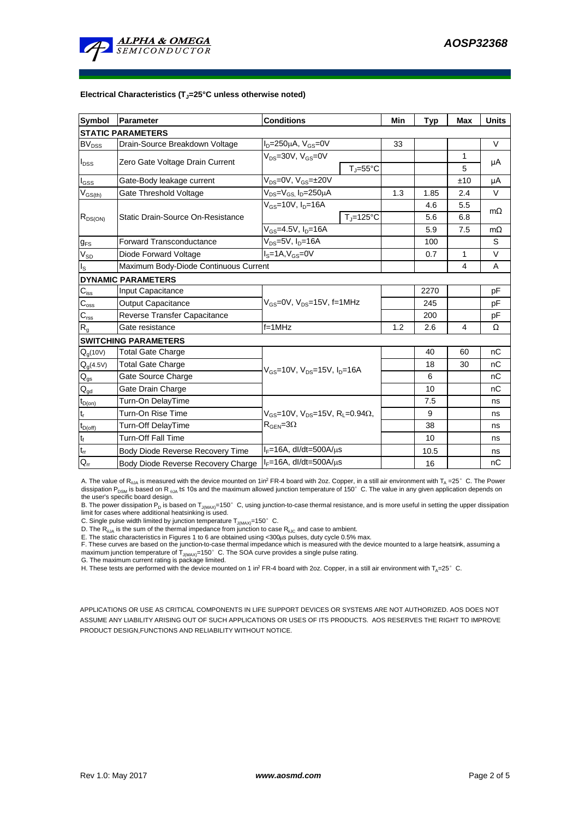

#### **Electrical Characteristics (TJ=25°C unless otherwise noted)**

| <b>Symbol</b>                | <b>Conditions</b><br>Parameter                                      |                                                               |                       | Min  | <b>Typ</b>     | Max | <b>Units</b> |  |  |  |  |  |
|------------------------------|---------------------------------------------------------------------|---------------------------------------------------------------|-----------------------|------|----------------|-----|--------------|--|--|--|--|--|
| <b>STATIC PARAMETERS</b>     |                                                                     |                                                               |                       |      |                |     |              |  |  |  |  |  |
| $\mathsf{BV}_{\mathsf{DSS}}$ | $I_D = 250 \mu A$ , $V_{GS} = 0V$<br>Drain-Source Breakdown Voltage |                                                               |                       | 33   |                |     | $\vee$       |  |  |  |  |  |
|                              | Zero Gate Voltage Drain Current                                     | $V_{DS}$ =30V, $V_{GS}$ =0V                                   |                       |      |                | 1   | μA           |  |  |  |  |  |
| $I_{DSS}$                    |                                                                     |                                                               | $T_{J} = 55^{\circ}C$ |      |                | 5   |              |  |  |  |  |  |
| $I_{GSS}$                    | Gate-Body leakage current                                           | $V_{DS} = 0V$ , $V_{GS} = \pm 20V$                            |                       |      |                | ±10 | μA           |  |  |  |  |  |
| $V_{GS(th)}$                 | Gate Threshold Voltage                                              | V <sub>DS</sub> =V <sub>GS</sub> I <sub>D</sub> =250µA        |                       |      | 1.85           | 2.4 | V            |  |  |  |  |  |
| $R_{DS(ON)}$                 |                                                                     | $V_{GS}$ =10V, $I_D$ =16A                                     |                       |      | 4.6            | 5.5 | $m\Omega$    |  |  |  |  |  |
|                              | Static Drain-Source On-Resistance                                   |                                                               | $T_J = 125$ °C        |      | 5.6            | 6.8 |              |  |  |  |  |  |
|                              |                                                                     | $V_{GS} = 4.5V, I_D = 16A$                                    |                       |      | 5.9            | 7.5 | $m\Omega$    |  |  |  |  |  |
| $g_{FS}$                     | $V_{DS} = 5V$ , $I_{D} = 16A$<br><b>Forward Transconductance</b>    |                                                               |                       |      | 100            |     | S            |  |  |  |  |  |
| $V_{SD}$                     | $IS=1A, VGS=0V$<br>Diode Forward Voltage                            |                                                               |                       |      | 0.7            | 1   | V            |  |  |  |  |  |
| Is                           | Maximum Body-Diode Continuous Current                               |                                                               |                       |      | $\overline{4}$ | A   |              |  |  |  |  |  |
|                              | <b>DYNAMIC PARAMETERS</b>                                           |                                                               |                       |      |                |     |              |  |  |  |  |  |
| $C_{\text{iss}}$             | Input Capacitance                                                   |                                                               |                       |      | 2270           |     | pF           |  |  |  |  |  |
| $C_{\rm oss}$                | <b>Output Capacitance</b>                                           | $V_{GS}$ =0V, $V_{DS}$ =15V, f=1MHz                           |                       |      | 245            |     | рF           |  |  |  |  |  |
| $C_{\text{rss}}$             | Reverse Transfer Capacitance                                        |                                                               |                       | 200  |                | pF  |              |  |  |  |  |  |
| $R_g$                        | Gate resistance                                                     | $f = 1$ MHz                                                   | 1.2                   | 2.6  | 4              | Ω   |              |  |  |  |  |  |
|                              | <b>SWITCHING PARAMETERS</b>                                         |                                                               |                       |      |                |     |              |  |  |  |  |  |
| $Q_q(10V)$                   | <b>Total Gate Charge</b>                                            |                                                               |                       |      | 40             | 60  | nC           |  |  |  |  |  |
| $Q_q(4.5V)$                  | <b>Total Gate Charge</b>                                            |                                                               |                       |      | 18             | 30  | nC           |  |  |  |  |  |
| $Q_{gs}$                     | Gate Source Charge                                                  | $V_{GS}$ =10V, $V_{DS}$ =15V, $I_{D}$ =16A                    |                       |      | 6              |     | nC           |  |  |  |  |  |
| $\mathsf{Q}_{\mathsf{gd}}$   | Gate Drain Charge                                                   |                                                               |                       | 10   |                | nC  |              |  |  |  |  |  |
| $t_{D(0n)}$                  | Turn-On DelayTime                                                   |                                                               |                       |      | 7.5            |     | ns           |  |  |  |  |  |
| t,                           | Turn-On Rise Time                                                   | $V_{GS}$ =10V, $V_{DS}$ =15V, R <sub>L</sub> =0.94 $\Omega$ , |                       | 9    |                | ns  |              |  |  |  |  |  |
| $t_{D(off)}$                 | Turn-Off DelayTime<br>$R_{\text{GEN}} = 3\Omega$                    |                                                               |                       |      | 38             |     | ns           |  |  |  |  |  |
| $\mathsf{t}_{\mathsf{f}}$    | <b>Turn-Off Fall Time</b>                                           |                                                               |                       |      | 10             |     | ns           |  |  |  |  |  |
| $\mathfrak{t}_{\text{rr}}$   | Body Diode Reverse Recovery Time                                    | $I_F = 16A$ , dl/dt=500A/ $\mu$ s                             |                       | 10.5 |                | ns  |              |  |  |  |  |  |
| $Q_{rr}$                     | Body Diode Reverse Recovery Charge                                  | $I_F = 16A$ , dl/dt=500A/ $\mu$ s                             |                       |      | 16             |     | nC           |  |  |  |  |  |

A. The value of R<sub>aJA</sub> is measured with the device mounted on 1in<sup>2</sup> FR-4 board with 2oz. Copper, in a still air environment with T<sub>A</sub> =25° C. The Power dissipation P<sub>DSM</sub> is based on R <sub>0JA</sub> t≤ 10s and the maximum allowed junction temperature of 150°C. The value in any given application depends on the user's specific board design.

B. The power dissipation P<sub>D</sub> is based on T<sub>J(MAX)</sub>=150°C, using junction-to-case thermal resistance, and is more useful in setting the upper dissipation<br>limit for cases where additional heatsinking is used.

C. Single pulse width limited by junction temperature  $T_{J(MAX)}$ =150°C.

D. The  $R_{a_1a}$  is the sum of the thermal impedance from junction to case  $R_{a_1c}$  and case to ambient.

E. The static characteristics in Figures 1 to 6 are obtained using <300us pulses, duty cycle 0.5% max.

F. These curves are based on the junction-to-case thermal impedance which is measured with the device mounted to a large heatsink, assuming a maximum junction temperature of  $T_{J(MAX)}$ =150°C. The SOA curve provides a single pulse rating.

G. The maximum current rating is package limited.<br>H. These tests are performed with the device mounted on 1 in<sup>2</sup> FR-4 board with 2oz. Copper, in a still air environment with T<sub>A</sub>=25° C.

APPLICATIONS OR USE AS CRITICAL COMPONENTS IN LIFE SUPPORT DEVICES OR SYSTEMS ARE NOT AUTHORIZED. AOS DOES NOT ASSUME ANY LIABILITY ARISING OUT OF SUCH APPLICATIONS OR USES OF ITS PRODUCTS. AOS RESERVES THE RIGHT TO IMPROVE PRODUCT DESIGN,FUNCTIONS AND RELIABILITY WITHOUT NOTICE.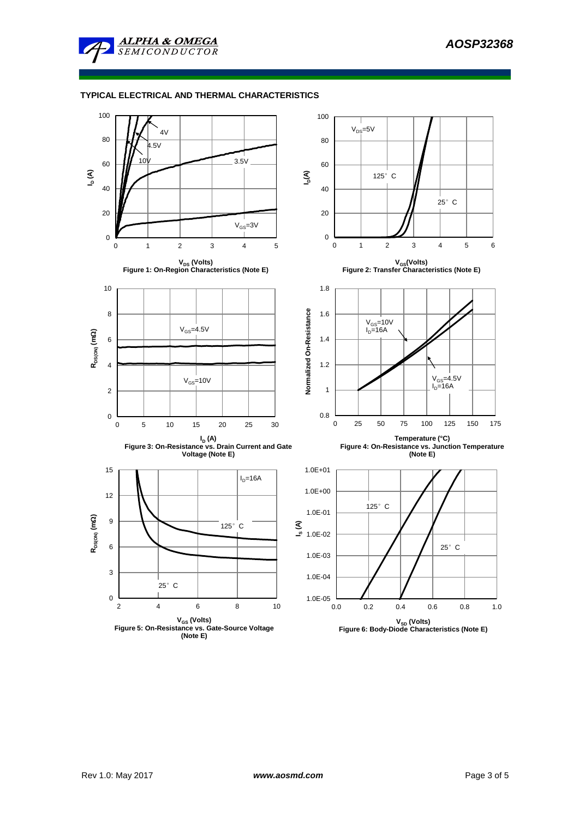

## **TYPICAL ELECTRICAL AND THERMAL CHARACTERISTICS**

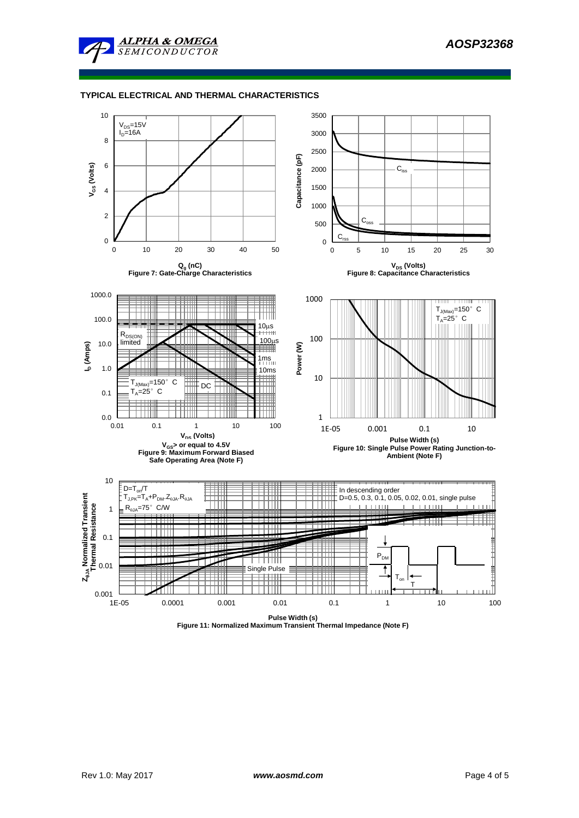

### **TYPICAL ELECTRICAL AND THERMAL CHARACTERISTICS**



**Figure 11: Normalized Maximum Transient Thermal Impedance (Note F)**